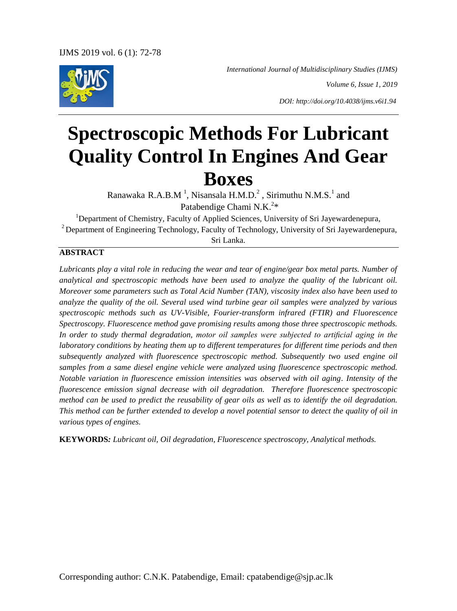*International Journal of Multidisciplinary Studies (IJMS)*

*Volume 6, Issue 1, 2019*

*DOI: http://doi.org/10.4038/ijms.v6i1.94*

# **Spectroscopic Methods For Lubricant Quality Control In Engines And Gear Boxes**

Ranawaka R.A.B.M<sup>1</sup>, Nisansala H.M.D.<sup>2</sup>, Sirimuthu N.M.S.<sup>1</sup> and Patabendige Chami N.K.<sup>2\*</sup>

<sup>1</sup>Department of Chemistry, Faculty of Applied Sciences, University of Sri Jayewardenepura, <sup>2</sup> Department of Engineering Technology, Faculty of Technology, University of Sri Jayewardenepura, Sri Lanka.

## **ABSTRACT**

*Lubricants play a vital role in reducing the wear and tear of engine/gear box metal parts. Number of analytical and spectroscopic methods have been used to analyze the quality of the lubricant oil. Moreover some parameters such as Total Acid Number (TAN), viscosity index also have been used to analyze the quality of the oil. Several used wind turbine gear oil samples were analyzed by various spectroscopic methods such as UV-Visible, Fourier-transform infrared (FTIR) and Fluorescence Spectroscopy. Fluorescence method gave promising results among those three spectroscopic methods. In order to study thermal degradation, motor oil samples were subjected to artificial aging in the laboratory conditions by heating them up to different temperatures for different time periods and then subsequently analyzed with fluorescence spectroscopic method. Subsequently two used engine oil samples from a same diesel engine vehicle were analyzed using fluorescence spectroscopic method. Notable variation in fluorescence emission intensities was observed with oil aging. Intensity of the fluorescence emission signal decrease with oil degradation. Therefore fluorescence spectroscopic method can be used to predict the reusability of gear oils as well as to identify the oil degradation. This method can be further extended to develop a novel potential sensor to detect the quality of oil in various types of engines.* 

**KEYWORDS***: Lubricant oil, Oil degradation, Fluorescence spectroscopy, Analytical methods.*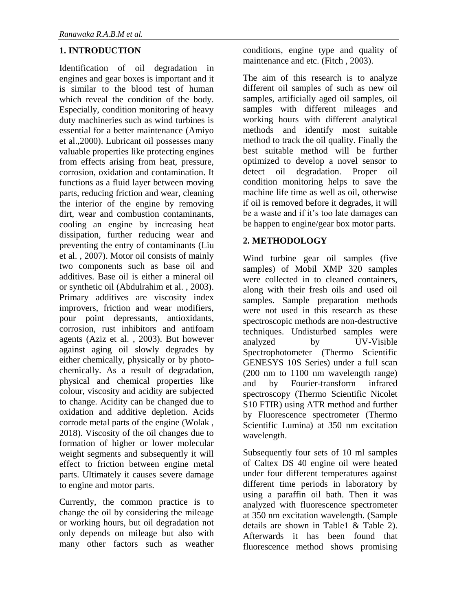# **1. INTRODUCTION**

Identification of oil degradation in engines and gear boxes is important and it is similar to the blood test of human which reveal the condition of the body. Especially, condition monitoring of heavy duty machineries such as wind turbines is essential for a better maintenance (Amiyo et al.,2000). Lubricant oil possesses many valuable properties like protecting engines from effects arising from heat, pressure, corrosion, oxidation and contamination. It functions as a fluid layer between moving parts, reducing friction and wear, cleaning the interior of the engine by removing dirt, wear and combustion contaminants. cooling an engine by increasing heat dissipation, further reducing wear and preventing the entry of contaminants (Liu et al. , 2007). Motor oil consists of mainly two components such as base oil and additives. Base oil is either a mineral oil or synthetic oil (Abdulrahim et al. , 2003). Primary additives are viscosity index improvers, friction and wear modifiers, pour point depressants, antioxidants, corrosion, rust inhibitors and antifoam agents (Aziz et al. , 2003). But however against aging oil slowly degrades by either chemically, physically or by photochemically. As a result of degradation, physical and chemical properties like colour, viscosity and acidity are subjected to change. Acidity can be changed due to oxidation and additive depletion. Acids corrode metal parts of the engine (Wolak , 2018). Viscosity of the oil changes due to formation of higher or lower molecular weight segments and subsequently it will effect to friction between engine metal parts. Ultimately it causes severe damage to engine and motor parts.

Currently, the common practice is to change the oil by considering the mileage or working hours, but oil degradation not only depends on mileage but also with many other factors such as weather

conditions, engine type and quality of maintenance and etc. (Fitch , 2003).

The aim of this research is to analyze different oil samples of such as new oil samples, artificially aged oil samples, oil samples with different mileages and working hours with different analytical methods and identify most suitable method to track the oil quality. Finally the best suitable method will be further optimized to develop a novel sensor to detect oil degradation. Proper oil condition monitoring helps to save the machine life time as well as oil, otherwise if oil is removed before it degrades, it will be a waste and if it's too late damages can be happen to engine/gear box motor parts.

# **2. METHODOLOGY**

Wind turbine gear oil samples (five samples) of Mobil XMP 320 samples were collected in to cleaned containers, along with their fresh oils and used oil samples. Sample preparation methods were not used in this research as these spectroscopic methods are non-destructive techniques. Undisturbed samples were analyzed by  $\overline{UV}$ -Visible Spectrophotometer (Thermo Scientific GENESYS 10S Series) under a full scan (200 nm to 1100 nm wavelength range) and by Fourier-transform infrared spectroscopy (Thermo Scientific Nicolet S10 FTIR) using ATR method and further by Fluorescence spectrometer (Thermo Scientific Lumina) at 350 nm excitation wavelength.

Subsequently four sets of 10 ml samples of Caltex DS 40 engine oil were heated under four different temperatures against different time periods in laboratory by using a paraffin oil bath. Then it was analyzed with fluorescence spectrometer at 350 nm excitation wavelength. (Sample details are shown in Table1 & Table 2). Afterwards it has been found that fluorescence method shows promising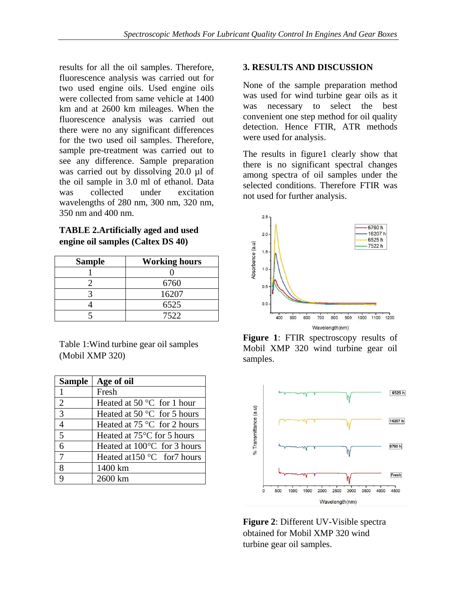results for all the oil samples. Therefore, fluorescence analysis was carried out for two used engine oils. Used engine oils were collected from same vehicle at 1400 km and at 2600 km mileages. When the fluorescence analysis was carried out there were no any significant differences for the two used oil samples. Therefore, sample pre-treatment was carried out to see any difference. Sample preparation was carried out by dissolving 20.0 µl of the oil sample in 3.0 ml of ethanol. Data was collected under excitation wavelengths of 280 nm, 300 nm, 320 nm, 350 nm and 400 nm.

**TABLE 2.Artificially aged and used engine oil samples (Caltex DS 40)**

| <b>Sample</b> | <b>Working hours</b> |
|---------------|----------------------|
|               |                      |
|               | 6760                 |
|               | 16207                |
|               | 6525                 |
|               | 7522                 |

Table 1:Wind turbine gear oil samples (Mobil XMP 320)

| <b>Sample</b>            | Age of oil                              |
|--------------------------|-----------------------------------------|
| $\mathbf{1}$             | Fresh                                   |
| $\overline{2}$           | Heated at 50 $\degree$ C for 1 hour     |
| $\overline{3}$           | Heated at 50 $^{\circ}$ C for 5 hours   |
| $\overline{\mathcal{A}}$ | Heated at $75^{\circ}$ C for 2 hours    |
| 5                        | Heated at 75 <sup>°</sup> C for 5 hours |
| 6                        | Heated at $100^{\circ}$ C for 3 hours   |
| 7                        | Heated at $150^{\circ}$ C for 7 hours   |
| 8                        | 1400 km                                 |
| Q                        | 2600 km                                 |

#### **3. RESULTS AND DISCUSSION**

None of the sample preparation method was used for wind turbine gear oils as it was necessary to select the best convenient one step method for oil quality detection. Hence FTIR, ATR methods were used for analysis.

The results in figure1 clearly show that there is no significant spectral changes among spectra of oil samples under the selected conditions. Therefore FTIR was not used for further analysis.



**Figure 1**: FTIR spectroscopy results of Mobil XMP 320 wind turbine gear oil samples.



**Figure 2**: Different UV-Visible spectra obtained for Mobil XMP 320 wind turbine gear oil samples.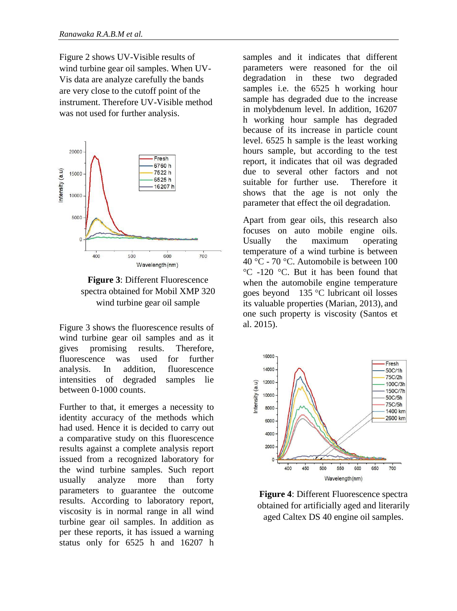Figure 2 shows UV-Visible results of wind turbine gear oil samples. When UV-Vis data are analyze carefully the bands are very close to the cutoff point of the instrument. Therefore UV-Visible method was not used for further analysis.





Figure 3 shows the fluorescence results of wind turbine gear oil samples and as it gives promising results. Therefore, fluorescence was used for further analysis. In addition, fluorescence intensities of degraded samples lie between 0-1000 counts.

Further to that, it emerges a necessity to identity accuracy of the methods which had used. Hence it is decided to carry out a comparative study on this fluorescence results against a complete analysis report issued from a recognized laboratory for the wind turbine samples. Such report usually analyze more than forty parameters to guarantee the outcome results. According to laboratory report, viscosity is in normal range in all wind turbine gear oil samples. In addition as per these reports, it has issued a warning status only for 6525 h and 16207 h samples and it indicates that different parameters were reasoned for the oil degradation in these two degraded samples i.e. the 6525 h working hour sample has degraded due to the increase in molybdenum level. In addition, 16207 h working hour sample has degraded because of its increase in particle count level. 6525 h sample is the least working hours sample, but according to the test report, it indicates that oil was degraded due to several other factors and not suitable for further use. Therefore it shows that the age is not only the parameter that effect the oil degradation.

Apart from gear oils, this research also focuses on auto mobile engine oils. Usually the maximum operating temperature of a wind turbine is between 40 °C - 70 °C. Automobile is between 100 °C -120 °C. But it has been found that when the automobile engine temperature goes beyond 135 °C lubricant oil losses its valuable properties (Marian, 2013), and one such property is viscosity (Santos et al. 2015).



**Figure 4**: Different Fluorescence spectra obtained for artificially aged and literarily aged Caltex DS 40 engine oil samples.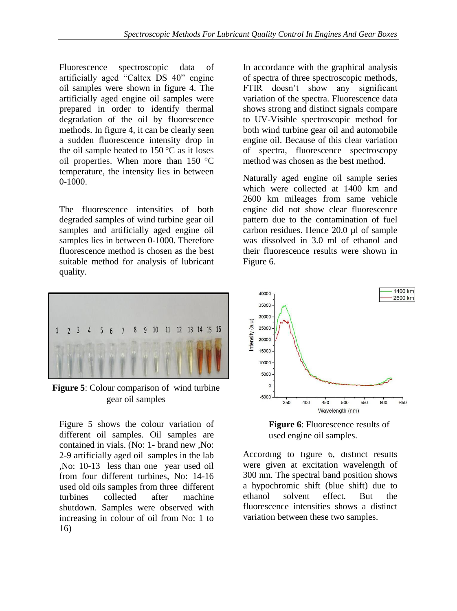Fluorescence spectroscopic data of artificially aged "Caltex DS 40" engine oil samples were shown in figure 4. The artificially aged engine oil samples were prepared in order to identify thermal degradation of the oil by fluorescence methods. In figure 4, it can be clearly seen a sudden fluorescence intensity drop in the oil sample heated to  $150^{\circ}$ C as it loses oil properties. When more than 150 °C temperature, the intensity lies in between 0-1000.

The fluorescence intensities of both degraded samples of wind turbine gear oil samples and artificially aged engine oil samples lies in between 0-1000. Therefore fluorescence method is chosen as the best suitable method for analysis of lubricant quality.

In accordance with the graphical analysis of spectra of three spectroscopic methods, FTIR doesn't show any significant variation of the spectra. Fluorescence data shows strong and distinct signals compare to UV-Visible spectroscopic method for both wind turbine gear oil and automobile engine oil. Because of this clear variation of spectra, fluorescence spectroscopy method was chosen as the best method.

Naturally aged engine oil sample series which were collected at 1400 km and 2600 km mileages from same vehicle engine did not show clear fluorescence pattern due to the contamination of fuel carbon residues. Hence 20.0 µl of sample was dissolved in 3.0 ml of ethanol and their fluorescence results were shown in Figure 6.



**Figure 5**: Colour comparison of wind turbine gear oil samples

Figure 5 shows the colour variation of different oil samples. Oil samples are contained in vials. (No: 1- brand new ,No: 2-9 artificially aged oil samples in the lab ,No: 10-13 less than one year used oil from four different turbines, No: 14-16 used old oils samples from three different turbines collected after machine shutdown. Samples were observed with increasing in colour of oil from No: 1 to 16)



**Figure 6**: Fluorescence results of used engine oil samples.

According to figure 6, distinct results were given at excitation wavelength of 300 nm. The spectral band position shows a hypochromic shift (blue shift) due to ethanol solvent effect. But the fluorescence intensities shows a distinct variation between these two samples.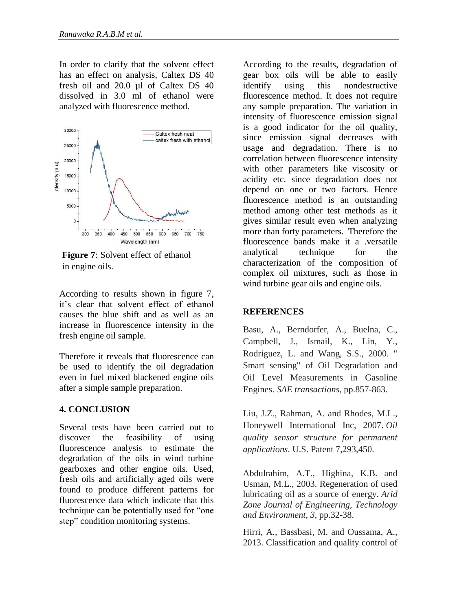In order to clarify that the solvent effect has an effect on analysis, Caltex DS 40 fresh oil and 20.0 µl of Caltex DS 40 dissolved in 3.0 ml of ethanol were analyzed with fluorescence method.



**Figure 7**: Solvent effect of ethanol in engine oils.

According to results shown in figure 7, it's clear that solvent effect of ethanol causes the blue shift and as well as an increase in fluorescence intensity in the fresh engine oil sample.

Therefore it reveals that fluorescence can be used to identify the oil degradation even in fuel mixed blackened engine oils after a simple sample preparation.

## **4. CONCLUSION**

Several tests have been carried out to discover the feasibility of using fluorescence analysis to estimate the degradation of the oils in wind turbine gearboxes and other engine oils. Used, fresh oils and artificially aged oils were found to produce different patterns for fluorescence data which indicate that this technique can be potentially used for "one step" condition monitoring systems.

According to the results, degradation of gear box oils will be able to easily identify using this nondestructive fluorescence method. It does not require any sample preparation. The variation in intensity of fluorescence emission signal is a good indicator for the oil quality, since emission signal decreases with usage and degradation. There is no correlation between fluorescence intensity with other parameters like viscosity or acidity etc. since degradation does not depend on one or two factors. Hence fluorescence method is an outstanding method among other test methods as it gives similar result even when analyzing more than forty parameters. Therefore the fluorescence bands make it a .versatile analytical technique for the characterization of the composition of complex oil mixtures, such as those in wind turbine gear oils and engine oils.

## **REFERENCES**

Basu, A., Berndorfer, A., Buelna, C., Campbell, J., Ismail, K., Lin, Y., Rodriguez, L. and Wang, S.S., 2000. " Smart sensing" of Oil Degradation and Oil Level Measurements in Gasoline Engines. *SAE transactions*, pp.857-863.

Liu, J.Z., Rahman, A. and Rhodes, M.L., Honeywell International Inc, 2007. *Oil quality sensor structure for permanent applications*. U.S. Patent 7,293,450.

Abdulrahim, A.T., Highina, K.B. and Usman, M.L., 2003. Regeneration of used lubricating oil as a source of energy. *Arid Zone Journal of Engineering, Technology and Environment*, *3*, pp.32-38.

Hirri, A., Bassbasi, M. and Oussama, A., 2013. Classification and quality control of